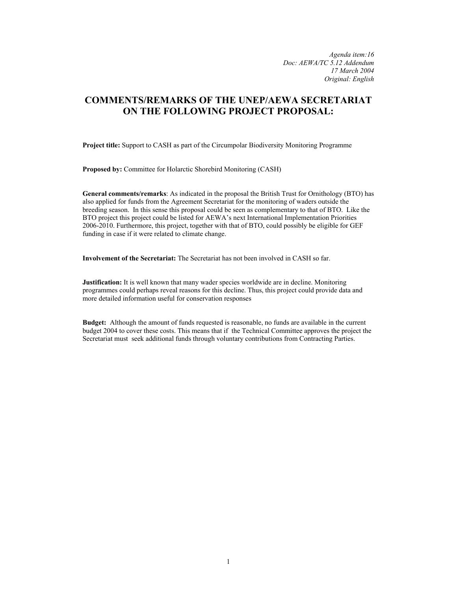*Agenda item:16 Doc: AEWA/TC 5.12 Addendum 17 March 2004 Original: English* 

# **COMMENTS/REMARKS OF THE UNEP/AEWA SECRETARIAT ON THE FOLLOWING PROJECT PROPOSAL:**

**Project title:** Support to CASH as part of the Circumpolar Biodiversity Monitoring Programme

**Proposed by:** Committee for Holarctic Shorebird Monitoring (CASH)

**General comments/remarks**: As indicated in the proposal the British Trust for Ornithology (BTO) has also applied for funds from the Agreement Secretariat for the monitoring of waders outside the breeding season. In this sense this proposal could be seen as complementary to that of BTO. Like the BTO project this project could be listed for AEWA's next International Implementation Priorities 2006-2010. Furthermore, this project, together with that of BTO, could possibly be eligible for GEF funding in case if it were related to climate change.

**Involvement of the Secretariat:** The Secretariat has not been involved in CASH so far.

**Justification:** It is well known that many wader species worldwide are in decline. Monitoring programmes could perhaps reveal reasons for this decline. Thus, this project could provide data and more detailed information useful for conservation responses

**Budget:** Although the amount of funds requested is reasonable, no funds are available in the current budget 2004 to cover these costs. This means that if the Technical Committee approves the project the Secretariat must seek additional funds through voluntary contributions from Contracting Parties.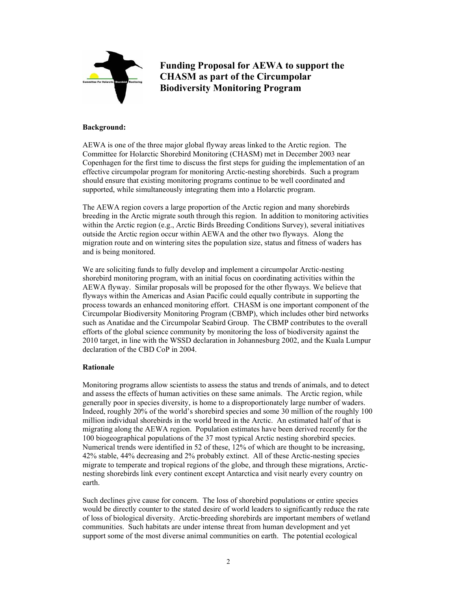

**Funding Proposal for AEWA to support the CHASM as part of the Circumpolar Biodiversity Monitoring Program** 

#### **Background:**

AEWA is one of the three major global flyway areas linked to the Arctic region. The Committee for Holarctic Shorebird Monitoring (CHASM) met in December 2003 near Copenhagen for the first time to discuss the first steps for guiding the implementation of an effective circumpolar program for monitoring Arctic-nesting shorebirds. Such a program should ensure that existing monitoring programs continue to be well coordinated and supported, while simultaneously integrating them into a Holarctic program.

The AEWA region covers a large proportion of the Arctic region and many shorebirds breeding in the Arctic migrate south through this region. In addition to monitoring activities within the Arctic region (e.g., Arctic Birds Breeding Conditions Survey), several initiatives outside the Arctic region occur within AEWA and the other two flyways. Along the migration route and on wintering sites the population size, status and fitness of waders has and is being monitored.

We are soliciting funds to fully develop and implement a circumpolar Arctic-nesting shorebird monitoring program, with an initial focus on coordinating activities within the AEWA flyway. Similar proposals will be proposed for the other flyways. We believe that flyways within the Americas and Asian Pacific could equally contribute in supporting the process towards an enhanced monitoring effort. CHASM is one important component of the Circumpolar Biodiversity Monitoring Program (CBMP), which includes other bird networks such as Anatidae and the Circumpolar Seabird Group. The CBMP contributes to the overall efforts of the global science community by monitoring the loss of biodiversity against the 2010 target, in line with the WSSD declaration in Johannesburg 2002, and the Kuala Lumpur declaration of the CBD CoP in 2004.

## **Rationale**

Monitoring programs allow scientists to assess the status and trends of animals, and to detect and assess the effects of human activities on these same animals. The Arctic region, while generally poor in species diversity, is home to a disproportionately large number of waders. Indeed, roughly 20% of the world's shorebird species and some 30 million of the roughly 100 million individual shorebirds in the world breed in the Arctic. An estimated half of that is migrating along the AEWA region. Population estimates have been derived recently for the 100 biogeographical populations of the 37 most typical Arctic nesting shorebird species. Numerical trends were identified in 52 of these, 12% of which are thought to be increasing, 42% stable, 44% decreasing and 2% probably extinct. All of these Arctic-nesting species migrate to temperate and tropical regions of the globe, and through these migrations, Arcticnesting shorebirds link every continent except Antarctica and visit nearly every country on earth.

Such declines give cause for concern. The loss of shorebird populations or entire species would be directly counter to the stated desire of world leaders to significantly reduce the rate of loss of biological diversity. Arctic-breeding shorebirds are important members of wetland communities. Such habitats are under intense threat from human development and yet support some of the most diverse animal communities on earth. The potential ecological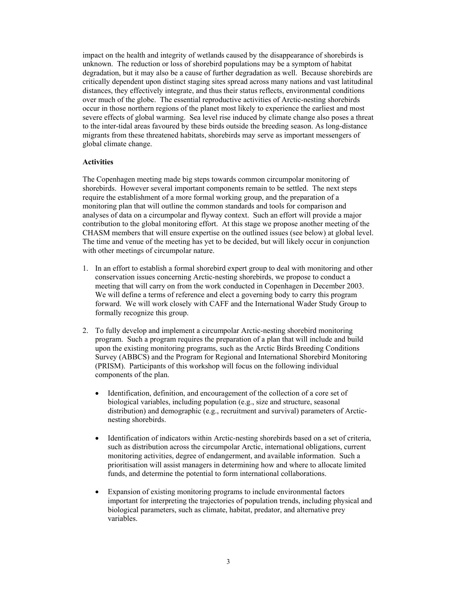impact on the health and integrity of wetlands caused by the disappearance of shorebirds is unknown. The reduction or loss of shorebird populations may be a symptom of habitat degradation, but it may also be a cause of further degradation as well. Because shorebirds are critically dependent upon distinct staging sites spread across many nations and vast latitudinal distances, they effectively integrate, and thus their status reflects, environmental conditions over much of the globe. The essential reproductive activities of Arctic-nesting shorebirds occur in those northern regions of the planet most likely to experience the earliest and most severe effects of global warming. Sea level rise induced by climate change also poses a threat to the inter-tidal areas favoured by these birds outside the breeding season. As long-distance migrants from these threatened habitats, shorebirds may serve as important messengers of global climate change.

### **Activities**

The Copenhagen meeting made big steps towards common circumpolar monitoring of shorebirds. However several important components remain to be settled. The next steps require the establishment of a more formal working group, and the preparation of a monitoring plan that will outline the common standards and tools for comparison and analyses of data on a circumpolar and flyway context. Such an effort will provide a major contribution to the global monitoring effort. At this stage we propose another meeting of the CHASM members that will ensure expertise on the outlined issues (see below) at global level. The time and venue of the meeting has yet to be decided, but will likely occur in conjunction with other meetings of circumpolar nature.

- 1. In an effort to establish a formal shorebird expert group to deal with monitoring and other conservation issues concerning Arctic-nesting shorebirds, we propose to conduct a meeting that will carry on from the work conducted in Copenhagen in December 2003. We will define a terms of reference and elect a governing body to carry this program forward. We will work closely with CAFF and the International Wader Study Group to formally recognize this group.
- 2. To fully develop and implement a circumpolar Arctic-nesting shorebird monitoring program. Such a program requires the preparation of a plan that will include and build upon the existing monitoring programs, such as the Arctic Birds Breeding Conditions Survey (ABBCS) and the Program for Regional and International Shorebird Monitoring (PRISM). Participants of this workshop will focus on the following individual components of the plan.
	- Identification, definition, and encouragement of the collection of a core set of biological variables, including population (e.g., size and structure, seasonal distribution) and demographic (e.g., recruitment and survival) parameters of Arcticnesting shorebirds.
	- Identification of indicators within Arctic-nesting shorebirds based on a set of criteria, such as distribution across the circumpolar Arctic, international obligations, current monitoring activities, degree of endangerment, and available information. Such a prioritisation will assist managers in determining how and where to allocate limited funds, and determine the potential to form international collaborations.
	- Expansion of existing monitoring programs to include environmental factors important for interpreting the trajectories of population trends, including physical and biological parameters, such as climate, habitat, predator, and alternative prey variables.